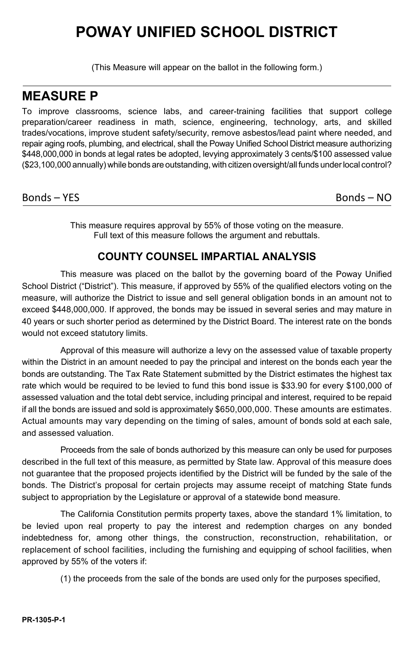# **POWAY UNIFIED SCHOOL DISTRICT**

(This Measure will appear on the ballot in the following form.)

## **MEASURE P**

To improve classrooms, science labs, and career-training facilities that support college preparation/career readiness in math, science, engineering, technology, arts, and skilled trades/vocations, improve student safety/security, remove asbestos/lead paint where needed, and repair aging roofs, plumbing, and electrical, shall the Poway Unified School District measure authorizing \$448,000,000 in bonds at legal rates be adopted, levying approximately 3 cents/\$100 assessed value (\$23,100,000 annually) while bonds are outstanding, with citizen oversight/all funds underlocal control?

#### Bonds – YES Bonds – NO

This measure requires approval by 55% of those voting on the measure. Full text of this measure follows the argument and rebuttals.

#### **COUNTY COUNSEL IMPARTIAL ANALYSIS**

This measure was placed on the ballot by the governing board of the Poway Unified School District ("District"). This measure, if approved by 55% of the qualified electors voting on the measure, will authorize the District to issue and sell general obligation bonds in an amount not to exceed \$448,000,000. If approved, the bonds may be issued in several series and may mature in 40 years or such shorter period as determined by the District Board. The interest rate on the bonds would not exceed statutory limits.

Approval of this measure will authorize a levy on the assessed value of taxable property within the District in an amount needed to pay the principal and interest on the bonds each year the bonds are outstanding. The Tax Rate Statement submitted by the District estimates the highest tax rate which would be required to be levied to fund this bond issue is \$33.90 for every \$100,000 of assessed valuation and the total debt service, including principal and interest, required to be repaid if all the bonds are issued and sold is approximately \$650,000,000. These amounts are estimates. Actual amounts may vary depending on the timing of sales, amount of bonds sold at each sale, and assessed valuation.

Proceeds from the sale of bonds authorized by this measure can only be used for purposes described in the full text of this measure, as permitted by State law. Approval of this measure does not guarantee that the proposed projects identified by the District will be funded by the sale of the bonds. The District's proposal for certain projects may assume receipt of matching State funds subject to appropriation by the Legislature or approval of a statewide bond measure.

The California Constitution permits property taxes, above the standard 1% limitation, to be levied upon real property to pay the interest and redemption charges on any bonded indebtedness for, among other things, the construction, reconstruction, rehabilitation, or replacement of school facilities, including the furnishing and equipping of school facilities, when approved by 55% of the voters if:

(1) the proceeds from the sale of the bonds are used only for the purposes specified,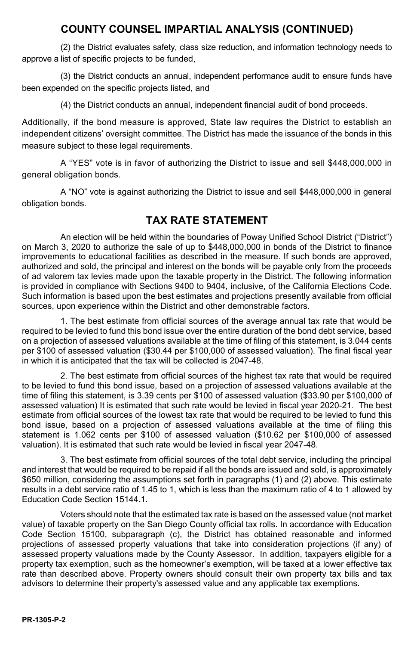#### **COUNTY COUNSEL IMPARTIAL ANALYSIS (CONTINUED)**

(2) the District evaluates safety, class size reduction, and information technology needs to approve a list of specific projects to be funded,

(3) the District conducts an annual, independent performance audit to ensure funds have been expended on the specific projects listed, and

(4) the District conducts an annual, independent financial audit of bond proceeds.

Additionally, if the bond measure is approved, State law requires the District to establish an independent citizens' oversight committee. The District has made the issuance of the bonds in this measure subject to these legal requirements.

A "YES" vote is in favor of authorizing the District to issue and sell \$448,000,000 in general obligation bonds.

A "NO" vote is against authorizing the District to issue and sell \$448,000,000 in general obligation bonds.

#### **TAX RATE STATEMENT**

An election will be held within the boundaries of Poway Unified School District ("District") on March 3, 2020 to authorize the sale of up to \$448,000,000 in bonds of the District to finance improvements to educational facilities as described in the measure. If such bonds are approved, authorized and sold, the principal and interest on the bonds will be payable only from the proceeds of ad valorem tax levies made upon the taxable property in the District. The following information is provided in compliance with Sections 9400 to 9404, inclusive, of the California Elections Code. Such information is based upon the best estimates and projections presently available from official sources, upon experience within the District and other demonstrable factors.

1. The best estimate from official sources of the average annual tax rate that would be required to be levied to fund this bond issue over the entire duration of the bond debt service, based on a projection of assessed valuations available at the time of filing of this statement, is 3.044 cents per \$100 of assessed valuation (\$30.44 per \$100,000 of assessed valuation). The final fiscal year in which it is anticipated that the tax will be collected is 2047-48.

2. The best estimate from official sources of the highest tax rate that would be required to be levied to fund this bond issue, based on a projection of assessed valuations available at the time of filing this statement, is 3.39 cents per \$100 of assessed valuation (\$33.90 per \$100,000 of assessed valuation) It is estimated that such rate would be levied in fiscal year 2020-21. The best estimate from official sources of the lowest tax rate that would be required to be levied to fund this bond issue, based on a projection of assessed valuations available at the time of filing this statement is 1.062 cents per \$100 of assessed valuation (\$10.62 per \$100,000 of assessed valuation). It is estimated that such rate would be levied in fiscal year 2047-48.

3. The best estimate from official sources of the total debt service, including the principal and interest that would be required to be repaid if all the bonds are issued and sold, is approximately \$650 million, considering the assumptions set forth in paragraphs (1) and (2) above. This estimate results in a debt service ratio of 1.45 to 1, which is less than the maximum ratio of 4 to 1 allowed by Education Code Section 15144.1.

Voters should note that the estimated tax rate is based on the assessed value (not market value) of taxable property on the San Diego County official tax rolls. In accordance with Education Code Section 15100, subparagraph (c), the District has obtained reasonable and informed projections of assessed property valuations that take into consideration projections (if any) of assessed property valuations made by the County Assessor. In addition, taxpayers eligible for a property tax exemption, such as the homeowner's exemption, will be taxed at a lower effective tax rate than described above. Property owners should consult their own property tax bills and tax advisors to determine their property's assessed value and any applicable tax exemptions.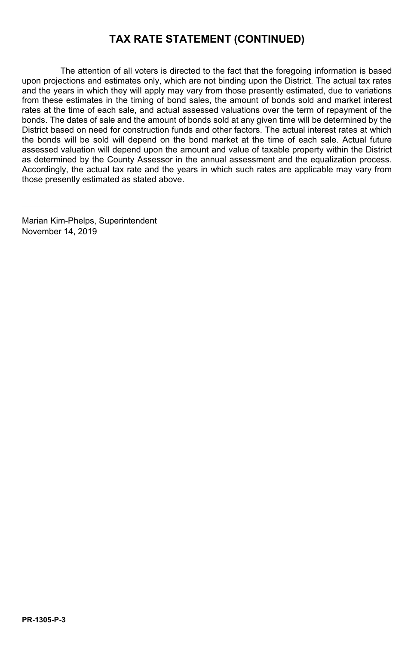## **TAX RATE STATEMENT (CONTINUED)**

The attention of all voters is directed to the fact that the foregoing information is based upon projections and estimates only, which are not binding upon the District. The actual tax rates and the years in which they will apply may vary from those presently estimated, due to variations from these estimates in the timing of bond sales, the amount of bonds sold and market interest rates at the time of each sale, and actual assessed valuations over the term of repayment of the bonds. The dates of sale and the amount of bonds sold at any given time will be determined by the District based on need for construction funds and other factors. The actual interest rates at which the bonds will be sold will depend on the bond market at the time of each sale. Actual future assessed valuation will depend upon the amount and value of taxable property within the District as determined by the County Assessor in the annual assessment and the equalization process. Accordingly, the actual tax rate and the years in which such rates are applicable may vary from those presently estimated as stated above.

Marian Kim-Phelps, Superintendent November 14, 2019

\_\_\_\_\_\_\_\_\_\_\_\_\_\_\_\_\_\_\_\_\_\_\_\_\_\_\_\_\_\_\_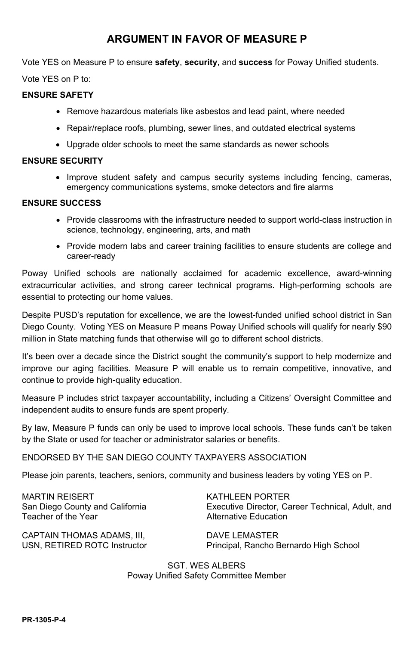#### **ARGUMENT IN FAVOR OF MEASURE P**

Vote YES on Measure P to ensure **safety**, **security**, and **success** for Poway Unified students.

Vote YES on P to:

#### **ENSURE SAFETY**

- Remove hazardous materials like asbestos and lead paint, where needed
- Repair/replace roofs, plumbing, sewer lines, and outdated electrical systems
- Upgrade older schools to meet the same standards as newer schools

#### **ENSURE SECURITY**

• Improve student safety and campus security systems including fencing, cameras, emergency communications systems, smoke detectors and fire alarms

#### **ENSURE SUCCESS**

- Provide classrooms with the infrastructure needed to support world-class instruction in science, technology, engineering, arts, and math
- Provide modern labs and career training facilities to ensure students are college and career-ready

Poway Unified schools are nationally acclaimed for academic excellence, award-winning extracurricular activities, and strong career technical programs. High-performing schools are essential to protecting our home values.

Despite PUSD's reputation for excellence, we are the lowest-funded unified school district in San Diego County. Voting YES on Measure P means Poway Unified schools will qualify for nearly \$90 million in State matching funds that otherwise will go to different school districts.

It's been over a decade since the District sought the community's support to help modernize and improve our aging facilities. Measure P will enable us to remain competitive, innovative, and continue to provide high-quality education.

Measure P includes strict taxpayer accountability, including a Citizens' Oversight Committee and independent audits to ensure funds are spent properly.

By law, Measure P funds can only be used to improve local schools. These funds can't be taken by the State or used for teacher or administrator salaries or benefits.

#### ENDORSED BY THE SAN DIEGO COUNTY TAXPAYERS ASSOCIATION

Please join parents, teachers, seniors, community and business leaders by voting YES on P.

MARTIN REISERT San Diego County and California Teacher of the Year

KATHLEEN PORTER Executive Director, Career Technical, Adult, and Alternative Education

CAPTAIN THOMAS ADAMS, III, USN, RETIRED ROTC Instructor DAVE LEMASTER Principal, Rancho Bernardo High School

SGT. WES ALBERS Poway Unified Safety Committee Member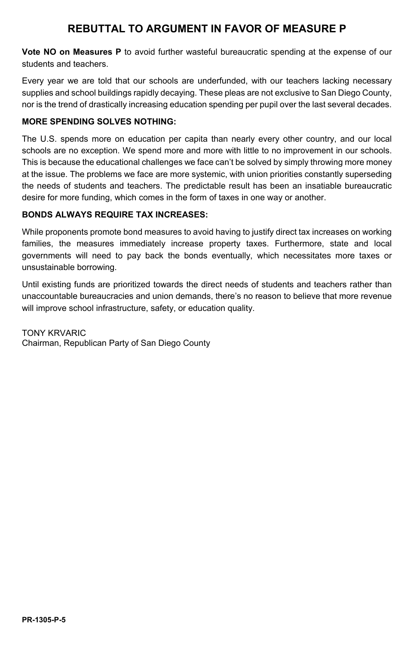## **REBUTTAL TO ARGUMENT IN FAVOR OF MEASURE P**

**Vote NO on Measures P** to avoid further wasteful bureaucratic spending at the expense of our students and teachers.

Every year we are told that our schools are underfunded, with our teachers lacking necessary supplies and school buildings rapidly decaying. These pleas are not exclusive to San Diego County, nor is the trend of drastically increasing education spending per pupil over the last several decades.

#### **MORE SPENDING SOLVES NOTHING:**

The U.S. spends more on education per capita than nearly every other country, and our local schools are no exception. We spend more and more with little to no improvement in our schools. This is because the educational challenges we face can't be solved by simply throwing more money at the issue. The problems we face are more systemic, with union priorities constantly superseding the needs of students and teachers. The predictable result has been an insatiable bureaucratic desire for more funding, which comes in the form of taxes in one way or another.

#### **BONDS ALWAYS REQUIRE TAX INCREASES:**

While proponents promote bond measures to avoid having to justify direct tax increases on working families, the measures immediately increase property taxes. Furthermore, state and local governments will need to pay back the bonds eventually, which necessitates more taxes or unsustainable borrowing.

Until existing funds are prioritized towards the direct needs of students and teachers rather than unaccountable bureaucracies and union demands, there's no reason to believe that more revenue will improve school infrastructure, safety, or education quality.

TONY KRVARIC Chairman, Republican Party of San Diego County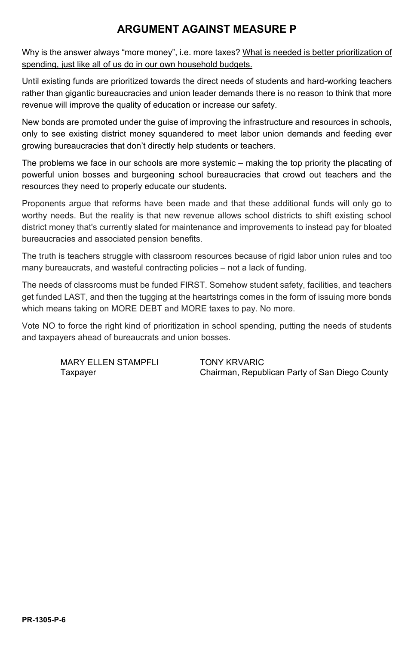## **ARGUMENT AGAINST MEASURE P**

Why is the answer always "more money", i.e. more taxes? What is needed is better prioritization of spending, just like all of us do in our own household budgets.

Until existing funds are prioritized towards the direct needs of students and hard-working teachers rather than gigantic bureaucracies and union leader demands there is no reason to think that more revenue will improve the quality of education or increase our safety.

New bonds are promoted under the guise of improving the infrastructure and resources in schools, only to see existing district money squandered to meet labor union demands and feeding ever growing bureaucracies that don't directly help students or teachers.

The problems we face in our schools are more systemic – making the top priority the placating of powerful union bosses and burgeoning school bureaucracies that crowd out teachers and the resources they need to properly educate our students.

Proponents argue that reforms have been made and that these additional funds will only go to worthy needs. But the reality is that new revenue allows school districts to shift existing school district money that's currently slated for maintenance and improvements to instead pay for bloated bureaucracies and associated pension benefits.

The truth is teachers struggle with classroom resources because of rigid labor union rules and too many bureaucrats, and wasteful contracting policies – not a lack of funding.

The needs of classrooms must be funded FIRST. Somehow student safety, facilities, and teachers get funded LAST, and then the tugging at the heartstrings comes in the form of issuing more bonds which means taking on MORE DEBT and MORE taxes to pay. No more.

Vote NO to force the right kind of prioritization in school spending, putting the needs of students and taxpayers ahead of bureaucrats and union bosses.

MARY FILEN STAMPFLI TONY KRVARIC

Taxpayer Chairman, Republican Party of San Diego County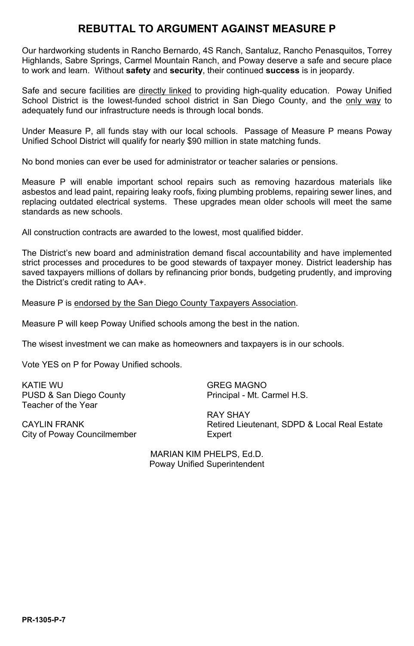## **REBUTTAL TO ARGUMENT AGAINST MEASURE P**

Our hardworking students in Rancho Bernardo, 4S Ranch, Santaluz, Rancho Penasquitos, Torrey Highlands, Sabre Springs, Carmel Mountain Ranch, and Poway deserve a safe and secure place to work and learn. Without **safety** and **security**, their continued **success** is in jeopardy.

Safe and secure facilities are directly linked to providing high-quality education. Poway Unified School District is the lowest-funded school district in San Diego County, and the only way to adequately fund our infrastructure needs is through local bonds.

Under Measure P, all funds stay with our local schools. Passage of Measure P means Poway Unified School District will qualify for nearly \$90 million in state matching funds.

No bond monies can ever be used for administrator or teacher salaries or pensions.

Measure P will enable important school repairs such as removing hazardous materials like asbestos and lead paint, repairing leaky roofs, fixing plumbing problems, repairing sewer lines, and replacing outdated electrical systems. These upgrades mean older schools will meet the same standards as new schools.

All construction contracts are awarded to the lowest, most qualified bidder.

The District's new board and administration demand fiscal accountability and have implemented strict processes and procedures to be good stewards of taxpayer money. District leadership has saved taxpayers millions of dollars by refinancing prior bonds, budgeting prudently, and improving the District's credit rating to AA+.

Measure P is endorsed by the San Diego County Taxpayers Association.

Measure P will keep Poway Unified schools among the best in the nation.

The wisest investment we can make as homeowners and taxpayers is in our schools.

Vote YES on P for Poway Unified schools.

KATIE WU PUSD & San Diego County Teacher of the Year

GREG MAGNO Principal - Mt. Carmel H.S.

CAYLIN FRANK City of Poway Councilmember RAY SHAY Retired Lieutenant, SDPD & Local Real Estate **Expert** 

MARIAN KIM PHELPS, Ed.D. Poway Unified Superintendent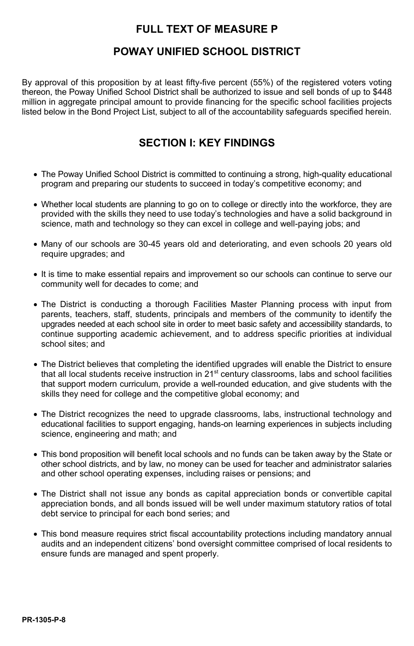## **FULL TEXT OF MEASURE P**

## **POWAY UNIFIED SCHOOL DISTRICT**

By approval of this proposition by at least fifty-five percent (55%) of the registered voters voting thereon, the Poway Unified School District shall be authorized to issue and sell bonds of up to \$448 million in aggregate principal amount to provide financing for the specific school facilities projects listed below in the Bond Project List, subject to all of the accountability safeguards specified herein.

## **SECTION I: KEY FINDINGS**

- The Poway Unified School District is committed to continuing a strong, high-quality educational program and preparing our students to succeed in today's competitive economy; and
- Whether local students are planning to go on to college or directly into the workforce, they are provided with the skills they need to use today's technologies and have a solid background in science, math and technology so they can excel in college and well-paying jobs; and
- Many of our schools are 30-45 years old and deteriorating, and even schools 20 years old require upgrades; and
- It is time to make essential repairs and improvement so our schools can continue to serve our community well for decades to come; and
- The District is conducting a thorough Facilities Master Planning process with input from parents, teachers, staff, students, principals and members of the community to identify the upgrades needed at each school site in order to meet basic safety and accessibility standards, to continue supporting academic achievement, and to address specific priorities at individual school sites; and
- The District believes that completing the identified upgrades will enable the District to ensure that all local students receive instruction in 21<sup>st</sup> century classrooms, labs and school facilities that support modern curriculum, provide a well-rounded education, and give students with the skills they need for college and the competitive global economy; and
- The District recognizes the need to upgrade classrooms, labs, instructional technology and educational facilities to support engaging, hands-on learning experiences in subjects including science, engineering and math; and
- This bond proposition will benefit local schools and no funds can be taken away by the State or other school districts, and by law, no money can be used for teacher and administrator salaries and other school operating expenses, including raises or pensions; and
- The District shall not issue any bonds as capital appreciation bonds or convertible capital appreciation bonds, and all bonds issued will be well under maximum statutory ratios of total debt service to principal for each bond series; and
- This bond measure requires strict fiscal accountability protections including mandatory annual audits and an independent citizens' bond oversight committee comprised of local residents to ensure funds are managed and spent properly.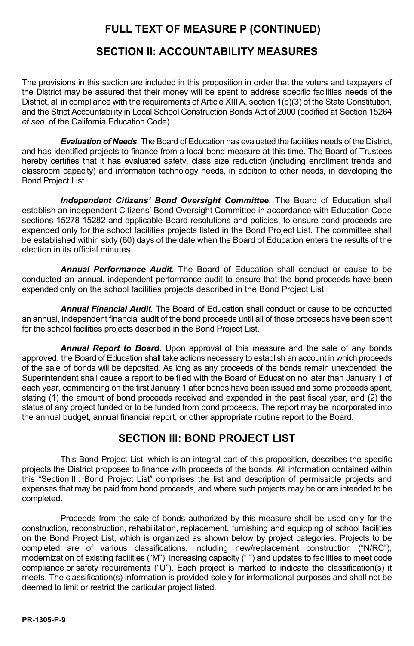#### **SECTION II: ACCOUNTABILITY MEASURES**

The provisions in this section are included in this proposition in order that the voters and taxpayers of the District may be assured that their money will be spent to address specific facilities needs of the District, all in compliance with the requirements of Article XIII A, section 1(b)(3) of the State Constitution, and the Strict Accountability in Local School Construction Bonds Act of 2000 (codified at Section 15264 *et seq.* of the California Education Code).

*Evaluation of Needs*. The Board of Education has evaluated the facilities needs of the District, and has identified projects to finance from a local bond measure at this time. The Board of Trustees hereby certifies that it has evaluated safety, class size reduction (including enrollment trends and classroom capacity) and information technology needs, in addition to other needs, in developing the Bond Project List.

*Independent Citizens' Bond Oversight Committee*. The Board of Education shall establish an independent Citizens' Bond Oversight Committee in accordance with Education Code sections 15278-15282 and applicable Board resolutions and policies, to ensure bond proceeds are expended only for the school facilities projects listed in the Bond Project List. The committee shall be established within sixty (60) days of the date when the Board of Education enters the results of the election in its official minutes.

*Annual Performance Audit*. The Board of Education shall conduct or cause to be conducted an annual, independent performance audit to ensure that the bond proceeds have been expended only on the school facilities projects described in the Bond Project List.

*Annual Financial Audit*. The Board of Education shall conduct or cause to be conducted an annual, independent financial audit of the bond proceeds until all of those proceeds have been spent for the school facilities projects described in the Bond Project List.

*Annual Report to Board*. Upon approval of this measure and the sale of any bonds approved, the Board of Education shall take actions necessary to establish an account in which proceeds of the sale of bonds will be deposited. As long as any proceeds of the bonds remain unexpended, the Superintendent shall cause a report to be filed with the Board of Education no later than January 1 of each year, commencing on the first January 1 after bonds have been issued and some proceeds spent, stating (1) the amount of bond proceeds received and expended in the past fiscal year, and (2) the status of any project funded or to be funded from bond proceeds. The report may be incorporated into the annual budget, annual financial report, or other appropriate routine report to the Board.

#### **SECTION III: BOND PROJECT LIST**

This Bond Project List, which is an integral part of this proposition, describes the specific projects the District proposes to finance with proceeds of the bonds. All information contained within this "Section III: Bond Project List" comprises the list and description of permissible projects and expenses that may be paid from bond proceeds, and where such projects may be or are intended to be completed.

Proceeds from the sale of bonds authorized by this measure shall be used only for the construction, reconstruction, rehabilitation, replacement, furnishing and equipping of school facilities on the Bond Project List, which is organized as shown below by project categories. Projects to be completed are of various classifications, including new/replacement construction ("N/RC"), modernization of existing facilities ("M"), increasing capacity ("I") and updates to facilities to meet code compliance or safety requirements ("U"). Each project is marked to indicate the classification(s) it meets. The classification(s) information is provided solely for informational purposes and shall not be deemed to limit or restrict the particular project listed.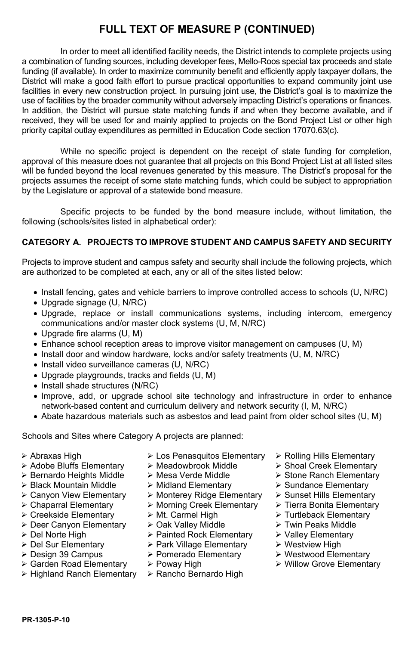In order to meet all identified facility needs, the District intends to complete projects using a combination of funding sources, including developer fees, Mello-Roos special tax proceeds and state funding (if available). In order to maximize community benefit and efficiently apply taxpayer dollars, the District will make a good faith effort to pursue practical opportunities to expand community joint use facilities in every new construction project. In pursuing joint use, the District's goal is to maximize the use of facilities by the broader community without adversely impacting District's operations or finances. In addition, the District will pursue state matching funds if and when they become available, and if received, they will be used for and mainly applied to projects on the Bond Project List or other high priority capital outlay expenditures as permitted in Education Code section 17070.63(c).

While no specific project is dependent on the receipt of state funding for completion. approval of this measure does not guarantee that all projects on this Bond Project List at all listed sites will be funded beyond the local revenues generated by this measure. The District's proposal for the projects assumes the receipt of some state matching funds, which could be subject to appropriation by the Legislature or approval of a statewide bond measure.

Specific projects to be funded by the bond measure include, without limitation, the following (schools/sites listed in alphabetical order):

#### **CATEGORY A. PROJECTS TO IMPROVE STUDENT AND CAMPUS SAFETY AND SECURITY**

Projects to improve student and campus safety and security shall include the following projects, which are authorized to be completed at each, any or all of the sites listed below:

- Install fencing, gates and vehicle barriers to improve controlled access to schools (U, N/RC)
- Upgrade signage (U, N/RC)
- Upgrade, replace or install communications systems, including intercom, emergency communications and/or master clock systems (U, M, N/RC)
- Upgrade fire alarms (U, M)
- Enhance school reception areas to improve visitor management on campuses (U, M)
- Install door and window hardware, locks and/or safety treatments (U, M, N/RC)
- Install video surveillance cameras (U, N/RC)
- Upgrade playgrounds, tracks and fields (U, M)
- Install shade structures (N/RC)
- Improve, add, or upgrade school site technology and infrastructure in order to enhance network-based content and curriculum delivery and network security (I, M, N/RC)
- Abate hazardous materials such as asbestos and lead paint from older school sites (U, M)

Schools and Sites where Category A projects are planned:

- 
- Adobe Bluffs Elementary  $\longrightarrow$  Meadowbrook Middle  $\longrightarrow$  Shoal Creek Elementary  $\rightarrow$  Bernardo Heights Middle  $\rightarrow$  Mesa Verde Middle  $\rightarrow$  Stone Ranch Elementary
- > Bernardo Heights Middle → Mesa Verde Middle > Stone Ranch Politics Mesa Verde Middle > Stone Ranch Elementary
- Black Mountain Middle Midland Elementary Sundance Elementary
- 
- 
- interface Elementary Att. Carmel High Alternative Deer Canvon Elementary Att. Carmel High Alternative Virtum Peaks Middle Communism Deer Canvon Elementary Art Oak Valley Middle
- Deer Canyon Elementary Oak Valley Middle Twin Peaks Middle
- 
- 
- Design 39 Campus Pomerado Elementary Westwood Elementary
- > Garden Road Elementary > Poway High<br>> Highland Ranch Elementary > Rancho Bernardo High
- $\triangleright$  Highland Ranch Elementary
- Abraxas High Los Penasquitos Elementary Rolling Hills Elementary
	-
	-
	-
- ightary Monterey Ridge Elementary > Sunset Hills Elementary > Chaparral Elementary > Morning Creek Elementary > Tierra Bonita Elementary
	- > Morning Creek Elementary
	-
	-
- Del Norte High Painted Rock Elementary Valley Elementary
	- > Park Village Elementary
	-
	-
	-
- 
- 
- 
- 
- 
- 
- 
- 
- 
- 
- 
-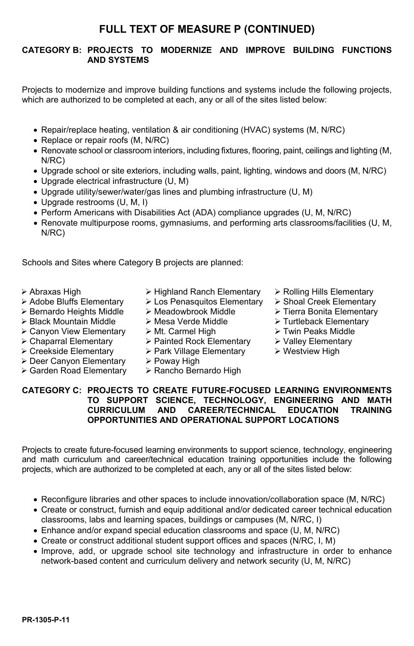#### **CATEGORY B: PROJECTS TO MODERNIZE AND IMPROVE BUILDING FUNCTIONS AND SYSTEMS**

Projects to modernize and improve building functions and systems include the following projects, which are authorized to be completed at each, any or all of the sites listed below:

- Repair/replace heating, ventilation & air conditioning (HVAC) systems (M, N/RC)
- Replace or repair roofs (M, N/RC)
- Renovate school or classroom interiors, including fixtures, flooring, paint, ceilings and lighting (M, N/RC)
- Upgrade school or site exteriors, including walls, paint, lighting, windows and doors (M, N/RC)
- Upgrade electrical infrastructure (U, M)
- Upgrade utility/sewer/water/gas lines and plumbing infrastructure (U, M)
- Upgrade restrooms (U, M, I)
- Perform Americans with Disabilities Act (ADA) compliance upgrades (U, M, N/RC)
- Renovate multipurpose rooms, gymnasiums, and performing arts classrooms/facilities (U, M, N/RC)

Schools and Sites where Category B projects are planned:

- 
- 
- Bernardo Heights Middle Meadowbrook Middle Tierra Bonita Elementary
- Black Mountain Middle Mesa Verde Middle Turtleback Elementary
- 
- 
- 
- Creekside Elementary Park Village Elementary Westview High
- > Deer Canyon Elementary > Poway High<br>> Garden Road Elementary > Rancho Bernardo High  $\triangleright$  Garden Road Elementary
- Abraxas High **X** Highland Ranch Elementary > Rolling Hills Elementary > Adobe Bluffs Elementary > Los Penasquitos Elementary > Shoal Creek Elementary
	- Eos Penasquitos Elementary > Shoal Creek Elementary
	-
	-
	-
- Canyon View Elementary → Mt. Carmel High Twin Peaks Middle Twin Peaks Middle<br>Chaparral Elementary → Painted Rock Elementary → Valley Elementary  $\triangleright$  Chaparral Elementary  $\triangleright$  Painted Rock Elementary
	-
	-
	-
- 
- 
- 
- 
- 
- 
- 

#### **CATEGORY C: PROJECTS TO CREATE FUTURE-FOCUSED LEARNING ENVIRONMENTS TO SUPPORT SCIENCE, TECHNOLOGY, ENGINEERING AND MATH CAREER/TECHNICAL OPPORTUNITIES AND OPERATIONAL SUPPORT LOCATIONS**

Projects to create future-focused learning environments to support science, technology, engineering and math curriculum and career/technical education training opportunities include the following projects, which are authorized to be completed at each, any or all of the sites listed below:

- Reconfigure libraries and other spaces to include innovation/collaboration space (M, N/RC)
- Create or construct, furnish and equip additional and/or dedicated career technical education classrooms, labs and learning spaces, buildings or campuses (M, N/RC, I)
- Enhance and/or expand special education classrooms and space (U, M, N/RC)
- Create or construct additional student support offices and spaces (N/RC, I, M)
- Improve, add, or upgrade school site technology and infrastructure in order to enhance network-based content and curriculum delivery and network security (U, M, N/RC)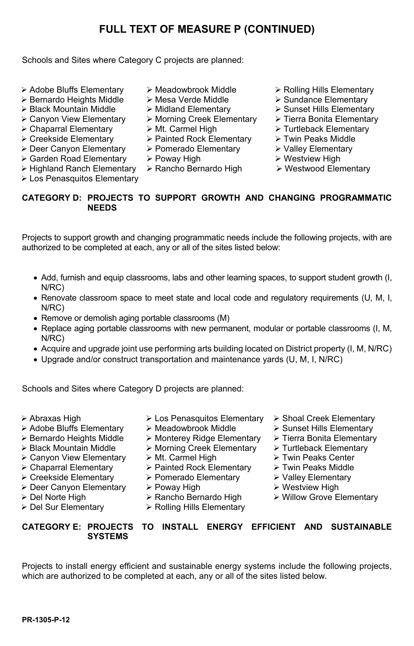Schools and Sites where Category C projects are planned:

- $\triangleright$  Adobe Bluffs Elementary  $\triangleright$  Meadowbrook Middle  $\triangleright$  Rolling Hills Elementary
- Bernardo Heights Middle Mesa Verde Middle Sundance Elementary
- 
- 
- $\triangleright$  Chaparral Elementary  $\triangleright$  Mt. Carmel High
- 
- 
- > Deer Canyon Elementary > Pomerado Elementary > Valley Element<br>> Garden Road Elementary > Poway High > Westview High  $\triangleright$  Garden Road Elementary
- 
- Los Penasquitos Elementary
- 
- 
- 
- > Black Mountain Middle > Midland Elementary > Sunset Hills Elementary <br>
> Canyon View Elementary > Morning Creek Elementary > Tierra Bonita Elementary  $\triangleright$  Morning Creek Elementary  $\triangleright$  Tierra Bonita Elementary  $\triangleright$  Mt. Carmel High
	-
- Creekside Elementary 
<br>
→ Painted Rock Elementary → Painted Rock Elementary → Polley Elementary → Pomerado Elementary → Valley Elementary
	-
	-
- $\triangleright$  Highland Ranch Elementary  $\triangleright$  Rancho Bernardo High  $\triangleright$  Westwood Elementary
- 
- 
- 
- 
- 
- 
- 
- 
- 

#### **CATEGORY D: PROJECTS TO SUPPORT GROWTH AND CHANGING PROGRAMMATIC NEEDS**

Projects to support growth and changing programmatic needs include the following projects, with are authorized to be completed at each, any or all of the sites listed below:

- Add, furnish and equip classrooms, labs and other learning spaces, to support student growth (I, N/RC)
- Renovate classroom space to meet state and local code and regulatory requirements (U, M, I, N/RC)
- Remove or demolish aging portable classrooms (M)
- Replace aging portable classrooms with new permanent, modular or portable classrooms (I, M, N/RC)
- Acquire and upgrade joint use performing arts building located on District property (I, M, N/RC)
- Upgrade and/or construct transportation and maintenance yards (U, M, I, N/RC)

Schools and Sites where Category D projects are planned:

- 
- 
- 
- 
- 
- > Canyon View Elementary  $\rightarrow$  Mt. Carmel High  $\rightarrow$  Twin Peaks Center  $\rightarrow$  Chaparral Elementary  $\rightarrow$  Painted Rock Elementary  $\rightarrow$  Twin Peaks Middle
- 
- Creekside Elementary → Pomerado Elementary → Valley Element<br>
> Deer Canyon Elementary → Poway High → Westview High > Deer Canyon Elementary > Poway High<br>
> Del Norte High > Rancho Bernardo High
- 
- 
- Abraxas High **Exercise X** Los Penasquitos Elementary X Shoal Creek Elementary
	-
- $\triangleright$  Adobe Bluffs Elementary  $\triangleright$  Meadowbrook Middle  $\triangleright$  Sunset Hills Elementary  $\triangleright$  Bernardo Heights Middle  $\triangleright$  Monterey Ridge Elementary  $\triangleright$  Tierra Bonita Elementary Bernardo Heights Middle Monterey Ridge Elementary Tierra Bonita Elementary
	- $\triangleright$  Morning Creek Elementary  $\triangleright$  Turtleback Element<br> $\triangleright$  Mt. Carmel High  $\triangleright$  Twin Peaks Center
	-
	- > Painted Rock Elementary  $\rightarrow$  Twin Peaks Middle > Pomerado Elementary  $\rightarrow$  Valley Elementary
	-
	-
	-
	- $\triangleright$  Rolling Hills Elementary
- 
- 
- 
- 
- 
- 
- 
- 
- > Del Norte High > Rancho Bernardo High > Willow Grove Elementary > Rolling Hills Elementary

#### **CATEGORY E: PROJECTS TO INSTALL ENERGY EFFICIENT AND SUSTAINABLE SYSTEMS**

Projects to install energy efficient and sustainable energy systems include the following projects, which are authorized to be completed at each, any or all of the sites listed below.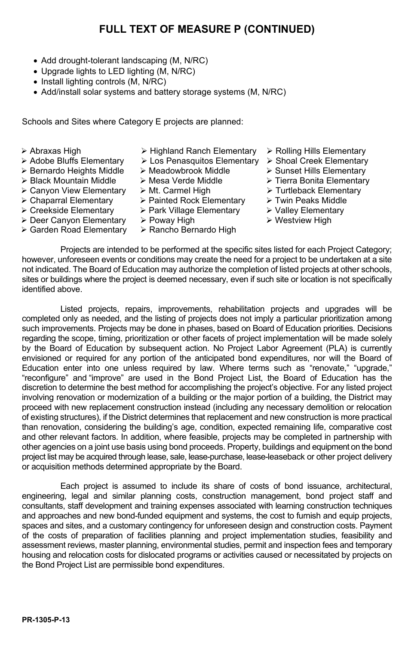- Add drought-tolerant landscaping (M, N/RC)
- Upgrade lights to LED lighting (M, N/RC)
- Install lighting controls (M, N/RC)
- Add/install solar systems and battery storage systems (M, N/RC)

Schools and Sites where Category E projects are planned:

- 
- 
- $\geq$  Bernardo Heights Middle  $\geq$  Black Mountain Middle
- 
- Canyon View Elementary Mt. Carmel High Turtleback Elementary
- 
- 
- Deer Canyon Elementary > Poway High 
ightarrow All vestview High
- $\triangleright$  Garden Road Elementary  $\triangleright$  Rancho Bernardo High
- Abraxas High > Highland Ranch Elementary > Rolling Hills Elementary <br>
> Los Penasquitos Elementary > Shoal Creek Elementary > Shoal Creek Elementary > Shoal Creek
	- $\triangleright$  Los Penasquitos Elementary  $\triangleright$  Shoal Creek Elementary  $\triangleright$  Meadowbrook Middle  $\triangleright$  Sunset Hills Elementary
	-
	-
	-
- in Chaparral Elementary Are Painted Rock Elementary Are Twin Peaks Middle<br>
A Creekside Elementary Are Park Village Elementary Are Valley Elementary
	- $\triangleright$  Park Village Elementary
	-
	-
- 
- 
- 
- $\triangleright$  Mesa Verde Middle  $\triangleright$  Tierra Bonita Elementary<br>  $\triangleright$  Mt. Carmel High  $\triangleright$  Turtleback Elementary
	-
	-
	-
	-

Projects are intended to be performed at the specific sites listed for each Project Category; however, unforeseen events or conditions may create the need for a project to be undertaken at a site not indicated. The Board of Education may authorize the completion of listed projects at other schools, sites or buildings where the project is deemed necessary, even if such site or location is not specifically identified above.

Listed projects, repairs, improvements, rehabilitation projects and upgrades will be completed only as needed, and the listing of projects does not imply a particular prioritization among such improvements. Projects may be done in phases, based on Board of Education priorities. Decisions regarding the scope, timing, prioritization or other facets of project implementation will be made solely by the Board of Education by subsequent action. No Project Labor Agreement (PLA) is currently envisioned or required for any portion of the anticipated bond expenditures, nor will the Board of Education enter into one unless required by law. Where terms such as "renovate," "upgrade," "reconfigure" and "improve" are used in the Bond Project List, the Board of Education has the discretion to determine the best method for accomplishing the project's objective. For any listed project involving renovation or modernization of a building or the major portion of a building, the District may proceed with new replacement construction instead (including any necessary demolition or relocation of existing structures), if the District determines that replacement and new construction is more practical than renovation, considering the building's age, condition, expected remaining life, comparative cost and other relevant factors. In addition, where feasible, projects may be completed in partnership with other agencies on a joint use basis using bond proceeds. Property, buildings and equipment on the bond project list may be acquired through lease, sale, lease-purchase, lease-leaseback or other project delivery or acquisition methods determined appropriate by the Board.

Each project is assumed to include its share of costs of bond issuance, architectural, engineering, legal and similar planning costs, construction management, bond project staff and consultants, staff development and training expenses associated with learning construction techniques and approaches and new bond-funded equipment and systems, the cost to furnish and equip projects, spaces and sites, and a customary contingency for unforeseen design and construction costs. Payment of the costs of preparation of facilities planning and project implementation studies, feasibility and assessment reviews, master planning, environmental studies, permit and inspection fees and temporary housing and relocation costs for dislocated programs or activities caused or necessitated by projects on the Bond Project List are permissible bond expenditures.